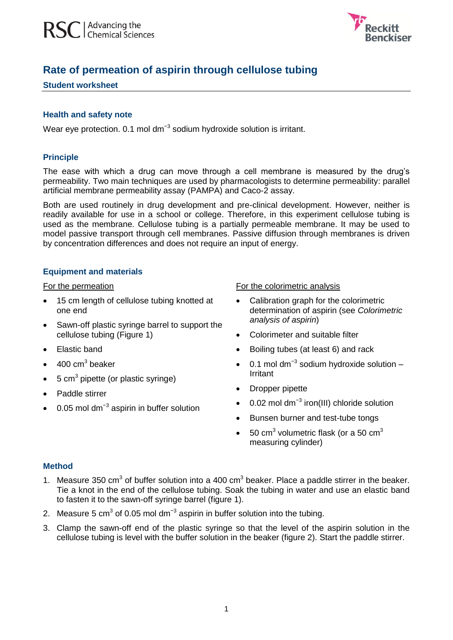

# **Rate of permeation of aspirin through cellulose tubing**

## **Student worksheet**

## **Health and safety note**

Wear eye protection. 0.1 mol dm<sup>-3</sup> sodium hydroxide solution is irritant.

## **Principle**

The ease with which a drug can move through a cell membrane is measured by the drug's permeability. Two main techniques are used by pharmacologists to determine permeability: parallel artificial membrane permeability assay (PAMPA) and Caco-2 assay.

Both are used routinely in drug development and pre-clinical development. However, neither is readily available for use in a school or college. Therefore, in this experiment cellulose tubing is used as the membrane. Cellulose tubing is a partially permeable membrane. It may be used to model passive transport through cell membranes. Passive diffusion through membranes is driven by concentration differences and does not require an input of energy.

## **Equipment and materials**

#### For the permeation

- 15 cm length of cellulose tubing knotted at one end
- Sawn-off plastic syringe barrel to support the cellulose tubing (Figure 1)
- Elastic band
- $\bullet$  400 cm<sup>3</sup> beaker
- $\bullet$  5 cm<sup>3</sup> pipette (or plastic syringe)
- Paddle stirrer
- 0.05 mol dm<sup>-3</sup> aspirin in buffer solution

#### For the colorimetric analysis

- Calibration graph for the colorimetric determination of aspirin (see *Colorimetric analysis of aspirin*)
- Colorimeter and suitable filter
- Boiling tubes (at least 6) and rack
- 0.1 mol dm<sup>-3</sup> sodium hydroxide solution Irritant
- Dropper pipette
- 0.02 mol dm<sup>-3</sup> iron(III) chloride solution
- Bunsen burner and test-tube tongs
- 50 cm<sup>3</sup> volumetric flask (or a 50 cm<sup>3</sup> measuring cylinder)

## **Method**

- 1. Measure 350 cm<sup>3</sup> of buffer solution into a 400 cm<sup>3</sup> beaker. Place a paddle stirrer in the beaker. Tie a knot in the end of the cellulose tubing. Soak the tubing in water and use an elastic band to fasten it to the sawn-off syringe barrel (figure 1).
- 2. Measure 5 cm<sup>3</sup> of 0.05 mol dm<sup>-3</sup> aspirin in buffer solution into the tubing.
- 3. Clamp the sawn-off end of the plastic syringe so that the level of the aspirin solution in the cellulose tubing is level with the buffer solution in the beaker (figure 2). Start the paddle stirrer.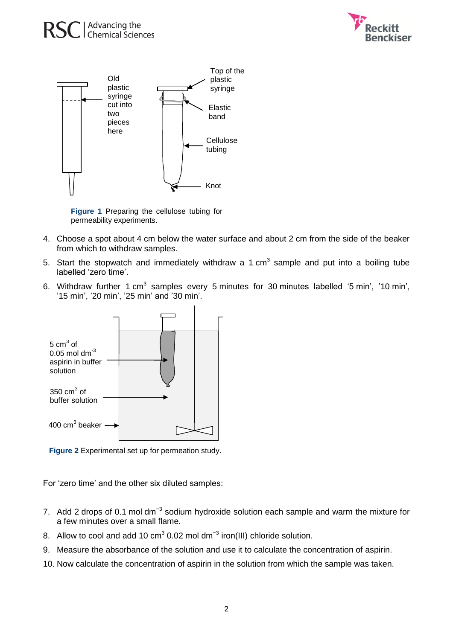





**Figure 1** Preparing the cellulose tubing for permeability experiments.

- 4. Choose a spot about 4 cm below the water surface and about 2 cm from the side of the beaker from which to withdraw samples.
- 5. Start the stopwatch and immediately withdraw a 1 cm<sup>3</sup> sample and put into a boiling tube labelled 'zero time'.
- 6. Withdraw further 1 cm<sup>3</sup> samples every 5 minutes for 30 minutes labelled '5 min', '10 min', '15 min', '20 min', '25 min' and '30 min'.



**Figure 2** Experimental set up for permeation study.

For 'zero time' and the other six diluted samples:

- 7. Add 2 drops of 0.1 mol dm<sup>-3</sup> sodium hydroxide solution each sample and warm the mixture for a few minutes over a small flame.
- 8. Allow to cool and add 10 cm<sup>3</sup> 0.02 mol dm<sup>-3</sup> iron(III) chloride solution.
- 9. Measure the absorbance of the solution and use it to calculate the concentration of aspirin.
- 10. Now calculate the concentration of aspirin in the solution from which the sample was taken.